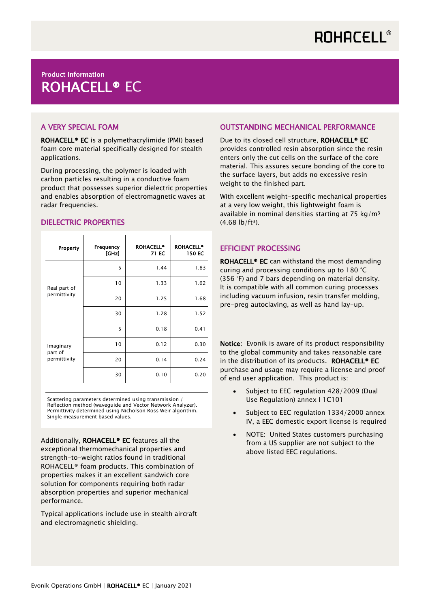# Product Information ROHACELL® EC

## A VERY SPECIAL FOAM

ROHACELL® EC is a polymethacrylimide (PMI) based foam core material specifically designed for stealth applications.

During processing, the polymer is loaded with carbon particles resulting in a conductive foam product that possesses superior dielectric properties and enables absorption of electromagnetic waves at radar frequencies.

## DIELECTRIC PROPERTIES

| Property                             | Frequency<br>[GHz] | <b>ROHACELL®</b><br>71 EC | <b>ROHACELL<sup>®</sup></b><br>150 EC |
|--------------------------------------|--------------------|---------------------------|---------------------------------------|
| Real part of<br>permittivity         | 5                  | 1.44                      | 1.83                                  |
|                                      | 10                 | 1.33                      | 1.62                                  |
|                                      | 20                 | 1.25                      | 1.68                                  |
|                                      | 30                 | 1.28                      | 1.52                                  |
| Imaginary<br>part of<br>permittivity | 5                  | 0.18                      | 0.41                                  |
|                                      | 10                 | 0.12                      | 0.30                                  |
|                                      | 20                 | 0.14                      | 0.24                                  |
|                                      | 30                 | 0.10                      | 0.20                                  |

Scattering parameters determined using transmission / Reflection method (waveguide and Vector Network Analyzer). Permittivity determined using Nicholson Ross Weir algorithm. Single measurement based values.

Additionally, ROHACELL® EC features all the exceptional thermomechanical properties and strength-to-weight ratios found in traditional ROHACELL® foam products. This combination of properties makes it an excellent sandwich core solution for components requiring both radar absorption properties and superior mechanical performance.

Typical applications include use in stealth aircraft and electromagnetic shielding.

#### OUTSTANDING MECHANICAL PERFORMANCE

Due to its closed cell structure, ROHACELL<sup>®</sup> EC provides controlled resin absorption since the resin enters only the cut cells on the surface of the core material. This assures secure bonding of the core to the surface layers, but adds no excessive resin weight to the finished part.

With excellent weight-specific mechanical properties at a very low weight, this lightweight foam is available in nominal densities starting at 75 kg/m<sup>3</sup>  $(4.68 \text{ lb/ft}^3)$ .

#### EFFICIENT PROCESSING

ROHACELL<sup>®</sup> EC can withstand the most demanding curing and processing conditions up to 180 °C (356 °F) and 7 bars depending on material density. It is compatible with all common curing processes including vacuum infusion, resin transfer molding, pre-preg autoclaving, as well as hand lay-up.

Notice: Evonik is aware of its product responsibility to the global community and takes reasonable care in the distribution of its products. ROHACELL<sup>®</sup> EC purchase and usage may require a license and proof of end user application. This product is:

- Subject to EEC regulation 428/2009 (Dual Use Regulation) annex I 1C101
- Subject to EEC regulation 1334/2000 annex IV, a EEC domestic export license is required
- NOTE: United States customers purchasing from a US supplier are not subject to the above listed EEC regulations.